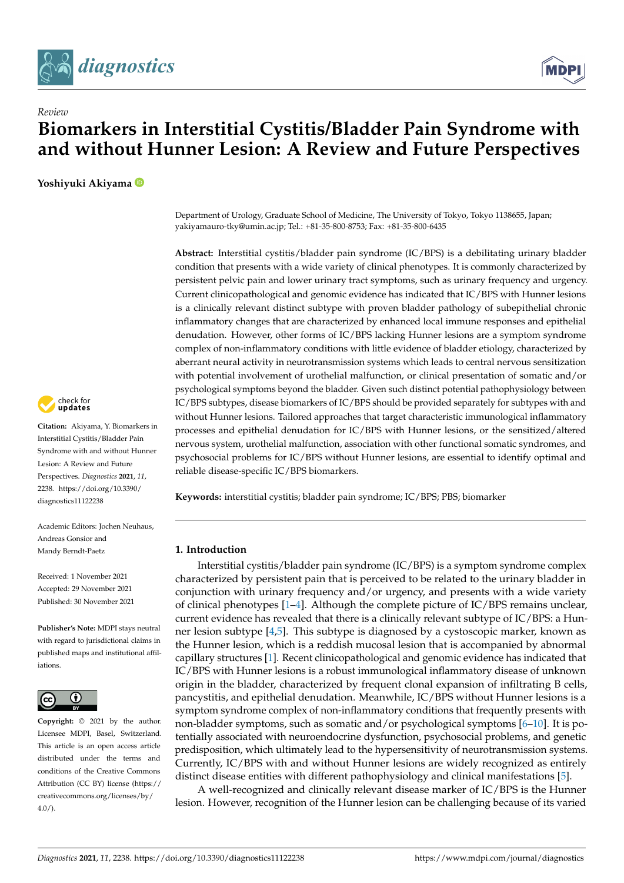



# **Biomarkers in Interstitial Cystitis/Bladder Pain Syndrome with and without Hunner Lesion: A Review and Future Perspectives**

**Yoshiyuki Akiyama**

*Review*



**Citation:** Akiyama, Y. Biomarkers in Interstitial Cystitis/Bladder Pain Syndrome with and without Hunner Lesion: A Review and Future Perspectives. *Diagnostics* **2021**, *11*, 2238. [https://doi.org/10.3390/](https://doi.org/10.3390/diagnostics11122238) [diagnostics11122238](https://doi.org/10.3390/diagnostics11122238)

Academic Editors: Jochen Neuhaus, Andreas Gonsior and Mandy Berndt-Paetz

Received: 1 November 2021 Accepted: 29 November 2021 Published: 30 November 2021

**Publisher's Note:** MDPI stays neutral with regard to jurisdictional claims in published maps and institutional affiliations.



**Copyright:** © 2021 by the author. Licensee MDPI, Basel, Switzerland. This article is an open access article distributed under the terms and conditions of the Creative Commons Attribution (CC BY) license (https:/[/](https://creativecommons.org/licenses/by/4.0/) [creativecommons.org/licenses/by/](https://creativecommons.org/licenses/by/4.0/)  $4.0/$ ).

Department of Urology, Graduate School of Medicine, The University of Tokyo, Tokyo 1138655, Japan; yakiyamauro-tky@umin.ac.jp; Tel.: +81-35-800-8753; Fax: +81-35-800-6435

**Abstract:** Interstitial cystitis/bladder pain syndrome (IC/BPS) is a debilitating urinary bladder condition that presents with a wide variety of clinical phenotypes. It is commonly characterized by persistent pelvic pain and lower urinary tract symptoms, such as urinary frequency and urgency. Current clinicopathological and genomic evidence has indicated that IC/BPS with Hunner lesions is a clinically relevant distinct subtype with proven bladder pathology of subepithelial chronic inflammatory changes that are characterized by enhanced local immune responses and epithelial denudation. However, other forms of IC/BPS lacking Hunner lesions are a symptom syndrome complex of non-inflammatory conditions with little evidence of bladder etiology, characterized by aberrant neural activity in neurotransmission systems which leads to central nervous sensitization with potential involvement of urothelial malfunction, or clinical presentation of somatic and/or psychological symptoms beyond the bladder. Given such distinct potential pathophysiology between IC/BPS subtypes, disease biomarkers of IC/BPS should be provided separately for subtypes with and without Hunner lesions. Tailored approaches that target characteristic immunological inflammatory processes and epithelial denudation for IC/BPS with Hunner lesions, or the sensitized/altered nervous system, urothelial malfunction, association with other functional somatic syndromes, and psychosocial problems for IC/BPS without Hunner lesions, are essential to identify optimal and reliable disease-specific IC/BPS biomarkers.

**Keywords:** interstitial cystitis; bladder pain syndrome; IC/BPS; PBS; biomarker

# **1. Introduction**

Interstitial cystitis/bladder pain syndrome (IC/BPS) is a symptom syndrome complex characterized by persistent pain that is perceived to be related to the urinary bladder in conjunction with urinary frequency and/or urgency, and presents with a wide variety of clinical phenotypes [\[1](#page-8-0)[–4\]](#page-8-1). Although the complete picture of IC/BPS remains unclear, current evidence has revealed that there is a clinically relevant subtype of IC/BPS: a Hunner lesion subtype [\[4](#page-8-1)[,5\]](#page-8-2). This subtype is diagnosed by a cystoscopic marker, known as the Hunner lesion, which is a reddish mucosal lesion that is accompanied by abnormal capillary structures [\[1\]](#page-8-0). Recent clinicopathological and genomic evidence has indicated that IC/BPS with Hunner lesions is a robust immunological inflammatory disease of unknown origin in the bladder, characterized by frequent clonal expansion of infiltrating B cells, pancystitis, and epithelial denudation. Meanwhile, IC/BPS without Hunner lesions is a symptom syndrome complex of non-inflammatory conditions that frequently presents with non-bladder symptoms, such as somatic and/or psychological symptoms [\[6](#page-8-3)[–10\]](#page-8-4). It is potentially associated with neuroendocrine dysfunction, psychosocial problems, and genetic predisposition, which ultimately lead to the hypersensitivity of neurotransmission systems. Currently, IC/BPS with and without Hunner lesions are widely recognized as entirely distinct disease entities with different pathophysiology and clinical manifestations [\[5\]](#page-8-2).

A well-recognized and clinically relevant disease marker of IC/BPS is the Hunner lesion. However, recognition of the Hunner lesion can be challenging because of its varied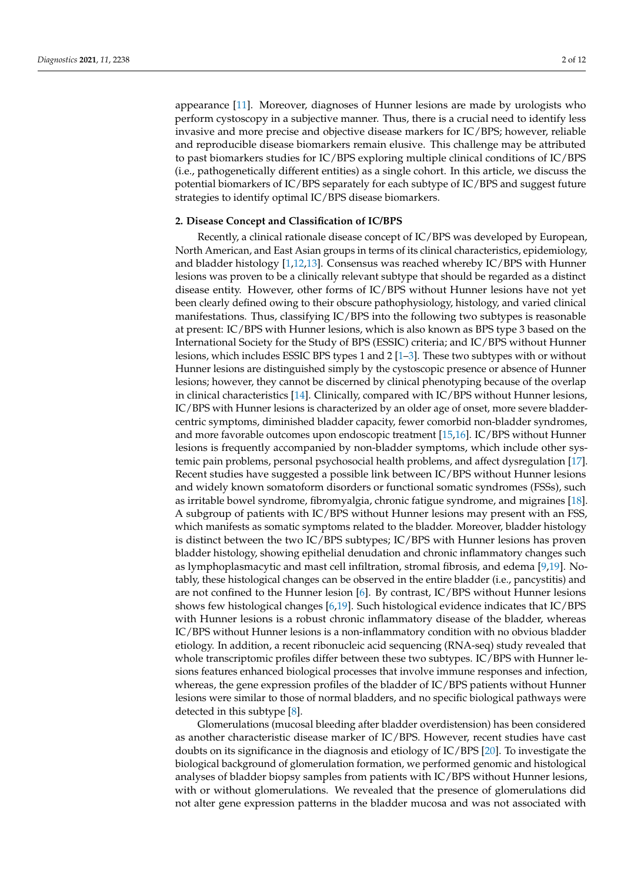appearance [\[11\]](#page-8-5). Moreover, diagnoses of Hunner lesions are made by urologists who perform cystoscopy in a subjective manner. Thus, there is a crucial need to identify less invasive and more precise and objective disease markers for IC/BPS; however, reliable and reproducible disease biomarkers remain elusive. This challenge may be attributed to past biomarkers studies for IC/BPS exploring multiple clinical conditions of IC/BPS (i.e., pathogenetically different entities) as a single cohort. In this article, we discuss the potential biomarkers of IC/BPS separately for each subtype of IC/BPS and suggest future strategies to identify optimal IC/BPS disease biomarkers.

## **2. Disease Concept and Classification of IC/BPS**

Recently, a clinical rationale disease concept of IC/BPS was developed by European, North American, and East Asian groups in terms of its clinical characteristics, epidemiology, and bladder histology [\[1,](#page-8-0)[12,](#page-8-6)[13\]](#page-8-7). Consensus was reached whereby IC/BPS with Hunner lesions was proven to be a clinically relevant subtype that should be regarded as a distinct disease entity. However, other forms of IC/BPS without Hunner lesions have not yet been clearly defined owing to their obscure pathophysiology, histology, and varied clinical manifestations. Thus, classifying IC/BPS into the following two subtypes is reasonable at present: IC/BPS with Hunner lesions, which is also known as BPS type 3 based on the International Society for the Study of BPS (ESSIC) criteria; and IC/BPS without Hunner lesions, which includes ESSIC BPS types 1 and  $2 \lfloor 1-3 \rfloor$ . These two subtypes with or without Hunner lesions are distinguished simply by the cystoscopic presence or absence of Hunner lesions; however, they cannot be discerned by clinical phenotyping because of the overlap in clinical characteristics [\[14\]](#page-8-9). Clinically, compared with IC/BPS without Hunner lesions, IC/BPS with Hunner lesions is characterized by an older age of onset, more severe bladdercentric symptoms, diminished bladder capacity, fewer comorbid non-bladder syndromes, and more favorable outcomes upon endoscopic treatment [\[15](#page-8-10)[,16\]](#page-8-11). IC/BPS without Hunner lesions is frequently accompanied by non-bladder symptoms, which include other systemic pain problems, personal psychosocial health problems, and affect dysregulation [\[17\]](#page-8-12). Recent studies have suggested a possible link between IC/BPS without Hunner lesions and widely known somatoform disorders or functional somatic syndromes (FSSs), such as irritable bowel syndrome, fibromyalgia, chronic fatigue syndrome, and migraines [\[18\]](#page-8-13). A subgroup of patients with IC/BPS without Hunner lesions may present with an FSS, which manifests as somatic symptoms related to the bladder. Moreover, bladder histology is distinct between the two IC/BPS subtypes; IC/BPS with Hunner lesions has proven bladder histology, showing epithelial denudation and chronic inflammatory changes such as lymphoplasmacytic and mast cell infiltration, stromal fibrosis, and edema [\[9,](#page-8-14)[19\]](#page-8-15). Notably, these histological changes can be observed in the entire bladder (i.e., pancystitis) and are not confined to the Hunner lesion [\[6\]](#page-8-3). By contrast, IC/BPS without Hunner lesions shows few histological changes [\[6,](#page-8-3)[19\]](#page-8-15). Such histological evidence indicates that IC/BPS with Hunner lesions is a robust chronic inflammatory disease of the bladder, whereas IC/BPS without Hunner lesions is a non-inflammatory condition with no obvious bladder etiology. In addition, a recent ribonucleic acid sequencing (RNA-seq) study revealed that whole transcriptomic profiles differ between these two subtypes. IC/BPS with Hunner lesions features enhanced biological processes that involve immune responses and infection, whereas, the gene expression profiles of the bladder of IC/BPS patients without Hunner lesions were similar to those of normal bladders, and no specific biological pathways were detected in this subtype [\[8\]](#page-8-16).

Glomerulations (mucosal bleeding after bladder overdistension) has been considered as another characteristic disease marker of IC/BPS. However, recent studies have cast doubts on its significance in the diagnosis and etiology of IC/BPS [\[20\]](#page-8-17). To investigate the biological background of glomerulation formation, we performed genomic and histological analyses of bladder biopsy samples from patients with IC/BPS without Hunner lesions, with or without glomerulations. We revealed that the presence of glomerulations did not alter gene expression patterns in the bladder mucosa and was not associated with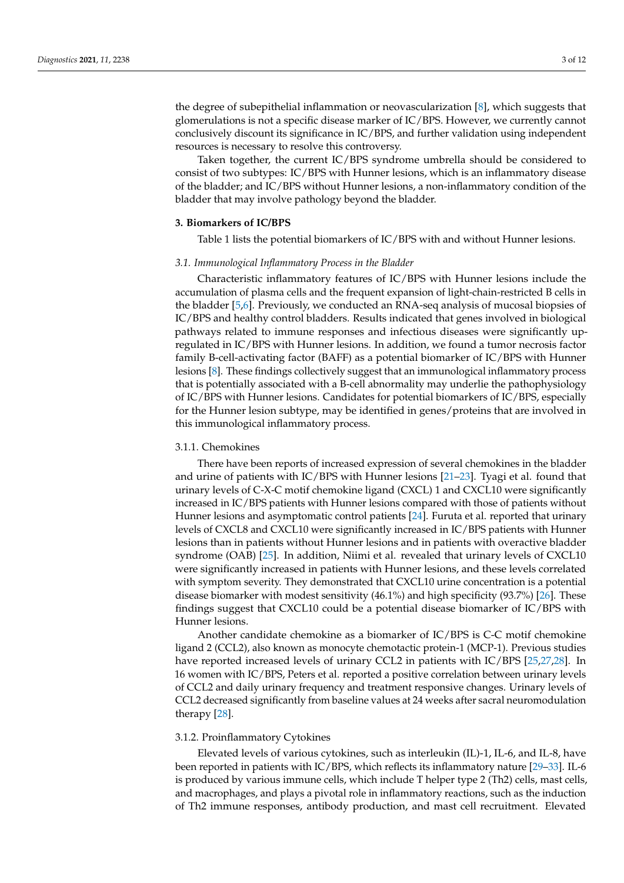the degree of subepithelial inflammation or neovascularization [\[8\]](#page-8-16), which suggests that glomerulations is not a specific disease marker of IC/BPS. However, we currently cannot conclusively discount its significance in IC/BPS, and further validation using independent resources is necessary to resolve this controversy.

Taken together, the current IC/BPS syndrome umbrella should be considered to consist of two subtypes: IC/BPS with Hunner lesions, which is an inflammatory disease of the bladder; and IC/BPS without Hunner lesions, a non-inflammatory condition of the bladder that may involve pathology beyond the bladder.

## **3. Biomarkers of IC/BPS**

Table 1 lists the potential biomarkers of IC/BPS with and without Hunner lesions.

## *3.1. Immunological Inflammatory Process in the Bladder*

Characteristic inflammatory features of IC/BPS with Hunner lesions include the accumulation of plasma cells and the frequent expansion of light-chain-restricted B cells in the bladder [\[5,](#page-8-2)[6\]](#page-8-3). Previously, we conducted an RNA-seq analysis of mucosal biopsies of IC/BPS and healthy control bladders. Results indicated that genes involved in biological pathways related to immune responses and infectious diseases were significantly upregulated in IC/BPS with Hunner lesions. In addition, we found a tumor necrosis factor family B-cell-activating factor (BAFF) as a potential biomarker of IC/BPS with Hunner lesions [\[8\]](#page-8-16). These findings collectively suggest that an immunological inflammatory process that is potentially associated with a B-cell abnormality may underlie the pathophysiology of IC/BPS with Hunner lesions. Candidates for potential biomarkers of IC/BPS, especially for the Hunner lesion subtype, may be identified in genes/proteins that are involved in this immunological inflammatory process.

### 3.1.1. Chemokines

There have been reports of increased expression of several chemokines in the bladder and urine of patients with IC/BPS with Hunner lesions [\[21–](#page-8-18)[23\]](#page-8-19). Tyagi et al. found that urinary levels of C-X-C motif chemokine ligand (CXCL) 1 and CXCL10 were significantly increased in IC/BPS patients with Hunner lesions compared with those of patients without Hunner lesions and asymptomatic control patients [\[24\]](#page-8-20). Furuta et al. reported that urinary levels of CXCL8 and CXCL10 were significantly increased in IC/BPS patients with Hunner lesions than in patients without Hunner lesions and in patients with overactive bladder syndrome (OAB) [\[25\]](#page-8-21). In addition, Niimi et al. revealed that urinary levels of CXCL10 were significantly increased in patients with Hunner lesions, and these levels correlated with symptom severity. They demonstrated that CXCL10 urine concentration is a potential disease biomarker with modest sensitivity (46.1%) and high specificity (93.7%) [\[26\]](#page-9-0). These findings suggest that CXCL10 could be a potential disease biomarker of IC/BPS with Hunner lesions.

Another candidate chemokine as a biomarker of IC/BPS is C-C motif chemokine ligand 2 (CCL2), also known as monocyte chemotactic protein-1 (MCP-1). Previous studies have reported increased levels of urinary CCL2 in patients with IC/BPS [\[25,](#page-8-21)[27,](#page-9-1)[28\]](#page-9-2). In 16 women with IC/BPS, Peters et al. reported a positive correlation between urinary levels of CCL2 and daily urinary frequency and treatment responsive changes. Urinary levels of CCL2 decreased significantly from baseline values at 24 weeks after sacral neuromodulation therapy [\[28\]](#page-9-2).

## 3.1.2. Proinflammatory Cytokines

Elevated levels of various cytokines, such as interleukin (IL)-1, IL-6, and IL-8, have been reported in patients with IC/BPS, which reflects its inflammatory nature [\[29](#page-9-3)[–33\]](#page-9-4). IL-6 is produced by various immune cells, which include T helper type 2 (Th2) cells, mast cells, and macrophages, and plays a pivotal role in inflammatory reactions, such as the induction of Th2 immune responses, antibody production, and mast cell recruitment. Elevated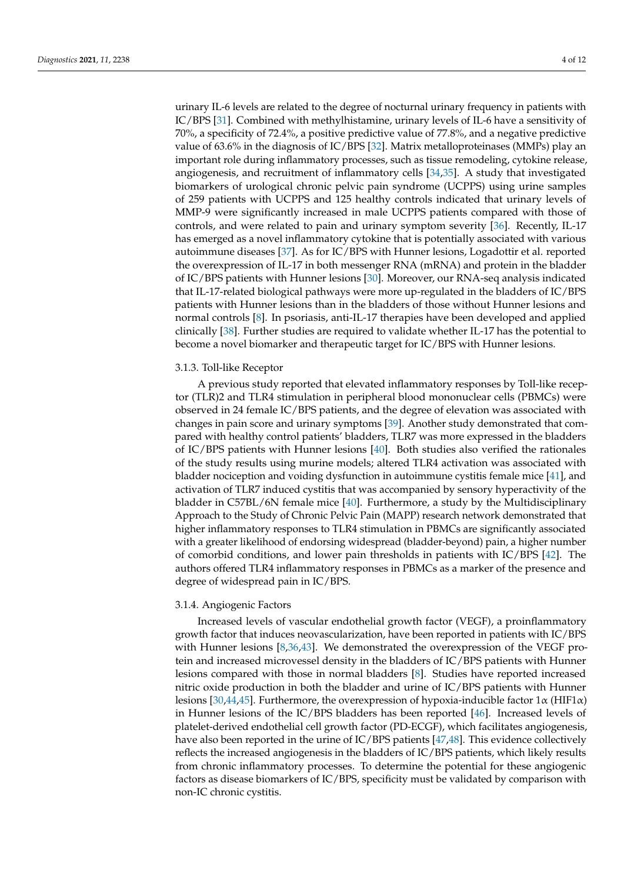urinary IL-6 levels are related to the degree of nocturnal urinary frequency in patients with IC/BPS [\[31\]](#page-9-5). Combined with methylhistamine, urinary levels of IL-6 have a sensitivity of 70%, a specificity of 72.4%, a positive predictive value of 77.8%, and a negative predictive value of 63.6% in the diagnosis of IC/BPS [\[32\]](#page-9-6). Matrix metalloproteinases (MMPs) play an important role during inflammatory processes, such as tissue remodeling, cytokine release, angiogenesis, and recruitment of inflammatory cells [\[34,](#page-9-7)[35\]](#page-9-8). A study that investigated biomarkers of urological chronic pelvic pain syndrome (UCPPS) using urine samples of 259 patients with UCPPS and 125 healthy controls indicated that urinary levels of MMP-9 were significantly increased in male UCPPS patients compared with those of controls, and were related to pain and urinary symptom severity [\[36\]](#page-9-9). Recently, IL-17 has emerged as a novel inflammatory cytokine that is potentially associated with various autoimmune diseases [\[37\]](#page-9-10). As for IC/BPS with Hunner lesions, Logadottir et al. reported the overexpression of IL-17 in both messenger RNA (mRNA) and protein in the bladder of IC/BPS patients with Hunner lesions [\[30\]](#page-9-11). Moreover, our RNA-seq analysis indicated that IL-17-related biological pathways were more up-regulated in the bladders of IC/BPS patients with Hunner lesions than in the bladders of those without Hunner lesions and normal controls [\[8\]](#page-8-16). In psoriasis, anti-IL-17 therapies have been developed and applied clinically [\[38\]](#page-9-12). Further studies are required to validate whether IL-17 has the potential to become a novel biomarker and therapeutic target for IC/BPS with Hunner lesions.

### 3.1.3. Toll-like Receptor

A previous study reported that elevated inflammatory responses by Toll-like receptor (TLR)2 and TLR4 stimulation in peripheral blood mononuclear cells (PBMCs) were observed in 24 female IC/BPS patients, and the degree of elevation was associated with changes in pain score and urinary symptoms [\[39\]](#page-9-13). Another study demonstrated that compared with healthy control patients' bladders, TLR7 was more expressed in the bladders of IC/BPS patients with Hunner lesions [\[40\]](#page-9-14). Both studies also verified the rationales of the study results using murine models; altered TLR4 activation was associated with bladder nociception and voiding dysfunction in autoimmune cystitis female mice [\[41\]](#page-9-15), and activation of TLR7 induced cystitis that was accompanied by sensory hyperactivity of the bladder in C57BL/6N female mice [\[40\]](#page-9-14). Furthermore, a study by the Multidisciplinary Approach to the Study of Chronic Pelvic Pain (MAPP) research network demonstrated that higher inflammatory responses to TLR4 stimulation in PBMCs are significantly associated with a greater likelihood of endorsing widespread (bladder-beyond) pain, a higher number of comorbid conditions, and lower pain thresholds in patients with IC/BPS [\[42\]](#page-9-16). The authors offered TLR4 inflammatory responses in PBMCs as a marker of the presence and degree of widespread pain in IC/BPS.

### 3.1.4. Angiogenic Factors

Increased levels of vascular endothelial growth factor (VEGF), a proinflammatory growth factor that induces neovascularization, have been reported in patients with IC/BPS with Hunner lesions [\[8](#page-8-16)[,36](#page-9-9)[,43\]](#page-9-17). We demonstrated the overexpression of the VEGF protein and increased microvessel density in the bladders of IC/BPS patients with Hunner lesions compared with those in normal bladders [\[8\]](#page-8-16). Studies have reported increased nitric oxide production in both the bladder and urine of IC/BPS patients with Hunner lesions [\[30](#page-9-11)[,44,](#page-9-18)[45\]](#page-9-19). Furthermore, the overexpression of hypoxia-inducible factor  $1\alpha$  (HIF1 $\alpha$ ) in Hunner lesions of the IC/BPS bladders has been reported [\[46\]](#page-9-20). Increased levels of platelet-derived endothelial cell growth factor (PD-ECGF), which facilitates angiogenesis, have also been reported in the urine of IC/BPS patients [\[47](#page-9-21)[,48\]](#page-9-22). This evidence collectively reflects the increased angiogenesis in the bladders of IC/BPS patients, which likely results from chronic inflammatory processes. To determine the potential for these angiogenic factors as disease biomarkers of IC/BPS, specificity must be validated by comparison with non-IC chronic cystitis.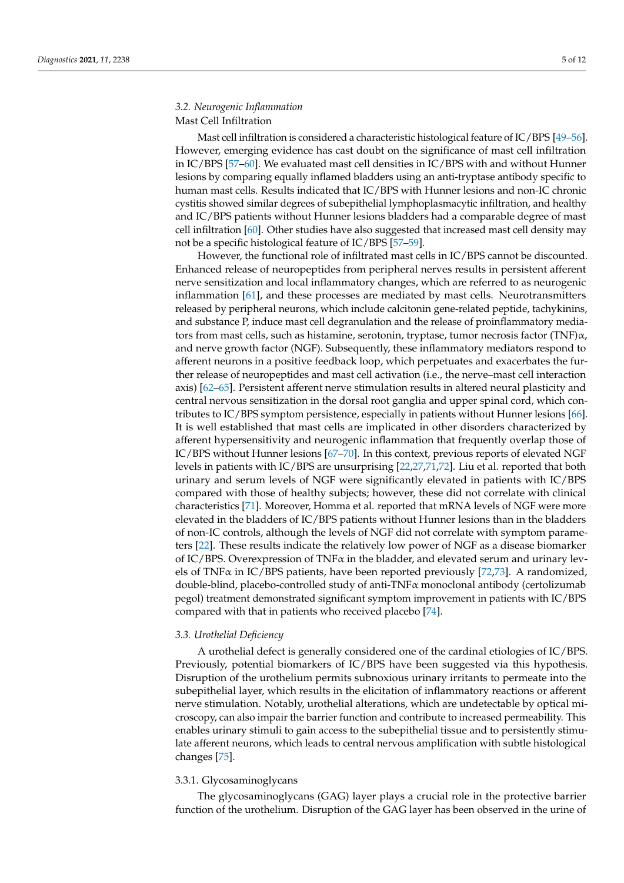# *3.2. Neurogenic Inflammation* Mast Cell Infiltration

Mast cell infiltration is considered a characteristic histological feature of IC/BPS [\[49](#page-9-23)[–56\]](#page-10-0). However, emerging evidence has cast doubt on the significance of mast cell infiltration in IC/BPS [\[57](#page-10-1)[–60\]](#page-10-2). We evaluated mast cell densities in IC/BPS with and without Hunner lesions by comparing equally inflamed bladders using an anti-tryptase antibody specific to human mast cells. Results indicated that IC/BPS with Hunner lesions and non-IC chronic cystitis showed similar degrees of subepithelial lymphoplasmacytic infiltration, and healthy and IC/BPS patients without Hunner lesions bladders had a comparable degree of mast cell infiltration [\[60\]](#page-10-2). Other studies have also suggested that increased mast cell density may not be a specific histological feature of IC/BPS [\[57–](#page-10-1)[59\]](#page-10-3).

However, the functional role of infiltrated mast cells in IC/BPS cannot be discounted. Enhanced release of neuropeptides from peripheral nerves results in persistent afferent nerve sensitization and local inflammatory changes, which are referred to as neurogenic inflammation [\[61\]](#page-10-4), and these processes are mediated by mast cells. Neurotransmitters released by peripheral neurons, which include calcitonin gene-related peptide, tachykinins, and substance P, induce mast cell degranulation and the release of proinflammatory mediators from mast cells, such as histamine, serotonin, tryptase, tumor necrosis factor (TNF) $\alpha$ , and nerve growth factor (NGF). Subsequently, these inflammatory mediators respond to afferent neurons in a positive feedback loop, which perpetuates and exacerbates the further release of neuropeptides and mast cell activation (i.e., the nerve–mast cell interaction axis) [\[62–](#page-10-5)[65\]](#page-10-6). Persistent afferent nerve stimulation results in altered neural plasticity and central nervous sensitization in the dorsal root ganglia and upper spinal cord, which contributes to IC/BPS symptom persistence, especially in patients without Hunner lesions [\[66\]](#page-10-7). It is well established that mast cells are implicated in other disorders characterized by afferent hypersensitivity and neurogenic inflammation that frequently overlap those of IC/BPS without Hunner lesions [\[67–](#page-10-8)[70\]](#page-10-9). In this context, previous reports of elevated NGF levels in patients with IC/BPS are unsurprising [\[22](#page-8-22)[,27](#page-9-1)[,71](#page-10-10)[,72\]](#page-10-11). Liu et al. reported that both urinary and serum levels of NGF were significantly elevated in patients with IC/BPS compared with those of healthy subjects; however, these did not correlate with clinical characteristics [\[71\]](#page-10-10). Moreover, Homma et al. reported that mRNA levels of NGF were more elevated in the bladders of IC/BPS patients without Hunner lesions than in the bladders of non-IC controls, although the levels of NGF did not correlate with symptom parameters [\[22\]](#page-8-22). These results indicate the relatively low power of NGF as a disease biomarker of IC/BPS. Overexpression of TNF $\alpha$  in the bladder, and elevated serum and urinary levels of TNF $\alpha$  in IC/BPS patients, have been reported previously [\[72](#page-10-11)[,73\]](#page-10-12). A randomized, double-blind, placebo-controlled study of anti-TNFα monoclonal antibody (certolizumab pegol) treatment demonstrated significant symptom improvement in patients with IC/BPS compared with that in patients who received placebo [\[74\]](#page-10-13).

# *3.3. Urothelial Deficiency*

A urothelial defect is generally considered one of the cardinal etiologies of IC/BPS. Previously, potential biomarkers of IC/BPS have been suggested via this hypothesis. Disruption of the urothelium permits subnoxious urinary irritants to permeate into the subepithelial layer, which results in the elicitation of inflammatory reactions or afferent nerve stimulation. Notably, urothelial alterations, which are undetectable by optical microscopy, can also impair the barrier function and contribute to increased permeability. This enables urinary stimuli to gain access to the subepithelial tissue and to persistently stimulate afferent neurons, which leads to central nervous amplification with subtle histological changes [\[75\]](#page-10-14).

# 3.3.1. Glycosaminoglycans

The glycosaminoglycans (GAG) layer plays a crucial role in the protective barrier function of the urothelium. Disruption of the GAG layer has been observed in the urine of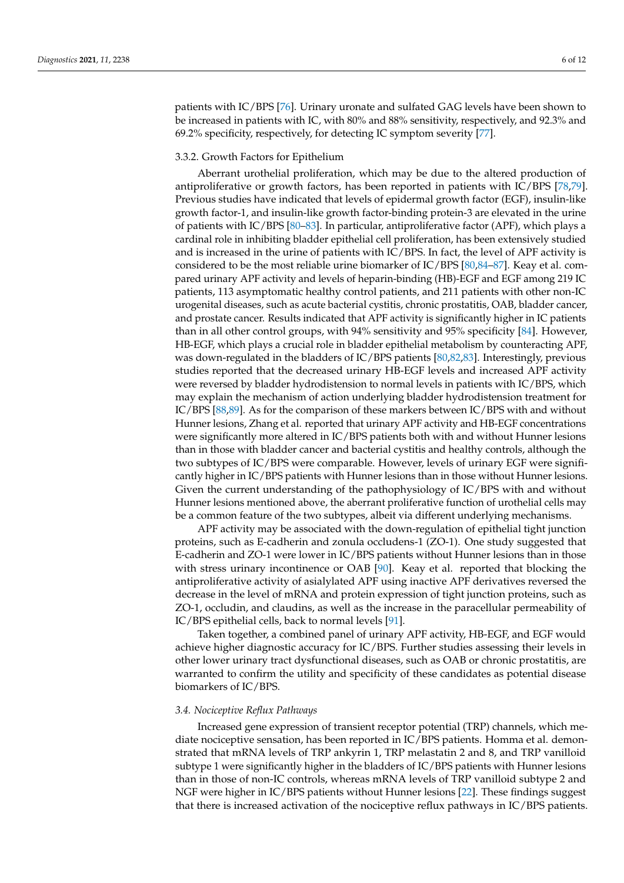patients with IC/BPS [\[76\]](#page-10-15). Urinary uronate and sulfated GAG levels have been shown to be increased in patients with IC, with 80% and 88% sensitivity, respectively, and 92.3% and 69.2% specificity, respectively, for detecting IC symptom severity [\[77\]](#page-10-16).

## 3.3.2. Growth Factors for Epithelium

Aberrant urothelial proliferation, which may be due to the altered production of antiproliferative or growth factors, has been reported in patients with IC/BPS [\[78,](#page-10-17)[79\]](#page-11-0). Previous studies have indicated that levels of epidermal growth factor (EGF), insulin-like growth factor-1, and insulin-like growth factor-binding protein-3 are elevated in the urine of patients with IC/BPS [\[80–](#page-11-1)[83\]](#page-11-2). In particular, antiproliferative factor (APF), which plays a cardinal role in inhibiting bladder epithelial cell proliferation, has been extensively studied and is increased in the urine of patients with IC/BPS. In fact, the level of APF activity is considered to be the most reliable urine biomarker of IC/BPS [\[80](#page-11-1)[,84–](#page-11-3)[87\]](#page-11-4). Keay et al. compared urinary APF activity and levels of heparin-binding (HB)-EGF and EGF among 219 IC patients, 113 asymptomatic healthy control patients, and 211 patients with other non-IC urogenital diseases, such as acute bacterial cystitis, chronic prostatitis, OAB, bladder cancer, and prostate cancer. Results indicated that APF activity is significantly higher in IC patients than in all other control groups, with 94% sensitivity and 95% specificity [\[84\]](#page-11-3). However, HB-EGF, which plays a crucial role in bladder epithelial metabolism by counteracting APF, was down-regulated in the bladders of IC/BPS patients [\[80,](#page-11-1)[82,](#page-11-5)[83\]](#page-11-2). Interestingly, previous studies reported that the decreased urinary HB-EGF levels and increased APF activity were reversed by bladder hydrodistension to normal levels in patients with IC/BPS, which may explain the mechanism of action underlying bladder hydrodistension treatment for IC/BPS [\[88](#page-11-6)[,89\]](#page-11-7). As for the comparison of these markers between IC/BPS with and without Hunner lesions, Zhang et al. reported that urinary APF activity and HB-EGF concentrations were significantly more altered in IC/BPS patients both with and without Hunner lesions than in those with bladder cancer and bacterial cystitis and healthy controls, although the two subtypes of IC/BPS were comparable. However, levels of urinary EGF were significantly higher in IC/BPS patients with Hunner lesions than in those without Hunner lesions. Given the current understanding of the pathophysiology of IC/BPS with and without Hunner lesions mentioned above, the aberrant proliferative function of urothelial cells may be a common feature of the two subtypes, albeit via different underlying mechanisms.

APF activity may be associated with the down-regulation of epithelial tight junction proteins, such as E-cadherin and zonula occludens-1 (ZO-1). One study suggested that E-cadherin and ZO-1 were lower in IC/BPS patients without Hunner lesions than in those with stress urinary incontinence or OAB [\[90\]](#page-11-8). Keay et al. reported that blocking the antiproliferative activity of asialylated APF using inactive APF derivatives reversed the decrease in the level of mRNA and protein expression of tight junction proteins, such as ZO-1, occludin, and claudins, as well as the increase in the paracellular permeability of IC/BPS epithelial cells, back to normal levels [\[91\]](#page-11-9).

Taken together, a combined panel of urinary APF activity, HB-EGF, and EGF would achieve higher diagnostic accuracy for IC/BPS. Further studies assessing their levels in other lower urinary tract dysfunctional diseases, such as OAB or chronic prostatitis, are warranted to confirm the utility and specificity of these candidates as potential disease biomarkers of IC/BPS.

### *3.4. Nociceptive Reflux Pathways*

Increased gene expression of transient receptor potential (TRP) channels, which mediate nociceptive sensation, has been reported in IC/BPS patients. Homma et al. demonstrated that mRNA levels of TRP ankyrin 1, TRP melastatin 2 and 8, and TRP vanilloid subtype 1 were significantly higher in the bladders of IC/BPS patients with Hunner lesions than in those of non-IC controls, whereas mRNA levels of TRP vanilloid subtype 2 and NGF were higher in IC/BPS patients without Hunner lesions [\[22\]](#page-8-22). These findings suggest that there is increased activation of the nociceptive reflux pathways in IC/BPS patients.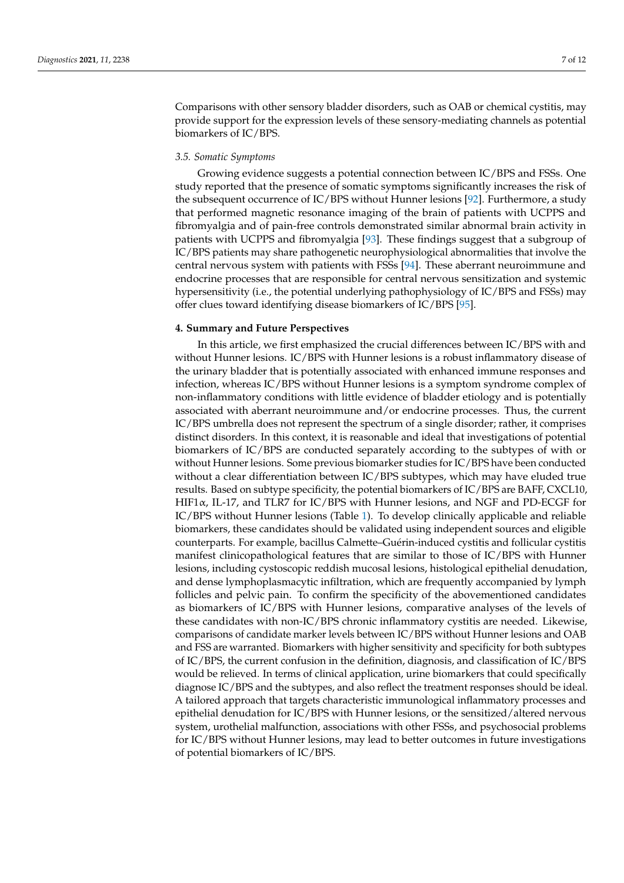Comparisons with other sensory bladder disorders, such as OAB or chemical cystitis, may provide support for the expression levels of these sensory-mediating channels as potential biomarkers of IC/BPS.

## *3.5. Somatic Symptoms*

Growing evidence suggests a potential connection between IC/BPS and FSSs. One study reported that the presence of somatic symptoms significantly increases the risk of the subsequent occurrence of IC/BPS without Hunner lesions [\[92\]](#page-11-10). Furthermore, a study that performed magnetic resonance imaging of the brain of patients with UCPPS and fibromyalgia and of pain-free controls demonstrated similar abnormal brain activity in patients with UCPPS and fibromyalgia [\[93\]](#page-11-11). These findings suggest that a subgroup of IC/BPS patients may share pathogenetic neurophysiological abnormalities that involve the central nervous system with patients with FSSs [\[94\]](#page-11-12). These aberrant neuroimmune and endocrine processes that are responsible for central nervous sensitization and systemic hypersensitivity (i.e., the potential underlying pathophysiology of IC/BPS and FSSs) may offer clues toward identifying disease biomarkers of IC/BPS [\[95\]](#page-11-13).

## **4. Summary and Future Perspectives**

In this article, we first emphasized the crucial differences between IC/BPS with and without Hunner lesions. IC/BPS with Hunner lesions is a robust inflammatory disease of the urinary bladder that is potentially associated with enhanced immune responses and infection, whereas IC/BPS without Hunner lesions is a symptom syndrome complex of non-inflammatory conditions with little evidence of bladder etiology and is potentially associated with aberrant neuroimmune and/or endocrine processes. Thus, the current IC/BPS umbrella does not represent the spectrum of a single disorder; rather, it comprises distinct disorders. In this context, it is reasonable and ideal that investigations of potential biomarkers of IC/BPS are conducted separately according to the subtypes of with or without Hunner lesions. Some previous biomarker studies for IC/BPS have been conducted without a clear differentiation between IC/BPS subtypes, which may have eluded true results. Based on subtype specificity, the potential biomarkers of IC/BPS are BAFF, CXCL10, HIF1α, IL-17, and TLR7 for IC/BPS with Hunner lesions, and NGF and PD-ECGF for IC/BPS without Hunner lesions (Table [1\)](#page-7-0). To develop clinically applicable and reliable biomarkers, these candidates should be validated using independent sources and eligible counterparts. For example, bacillus Calmette–Guérin-induced cystitis and follicular cystitis manifest clinicopathological features that are similar to those of IC/BPS with Hunner lesions, including cystoscopic reddish mucosal lesions, histological epithelial denudation, and dense lymphoplasmacytic infiltration, which are frequently accompanied by lymph follicles and pelvic pain. To confirm the specificity of the abovementioned candidates as biomarkers of IC/BPS with Hunner lesions, comparative analyses of the levels of these candidates with non-IC/BPS chronic inflammatory cystitis are needed. Likewise, comparisons of candidate marker levels between IC/BPS without Hunner lesions and OAB and FSS are warranted. Biomarkers with higher sensitivity and specificity for both subtypes of IC/BPS, the current confusion in the definition, diagnosis, and classification of IC/BPS would be relieved. In terms of clinical application, urine biomarkers that could specifically diagnose IC/BPS and the subtypes, and also reflect the treatment responses should be ideal. A tailored approach that targets characteristic immunological inflammatory processes and epithelial denudation for  $IC/BPS$  with Hunner lesions, or the sensitized/altered nervous system, urothelial malfunction, associations with other FSSs, and psychosocial problems for IC/BPS without Hunner lesions, may lead to better outcomes in future investigations of potential biomarkers of IC/BPS.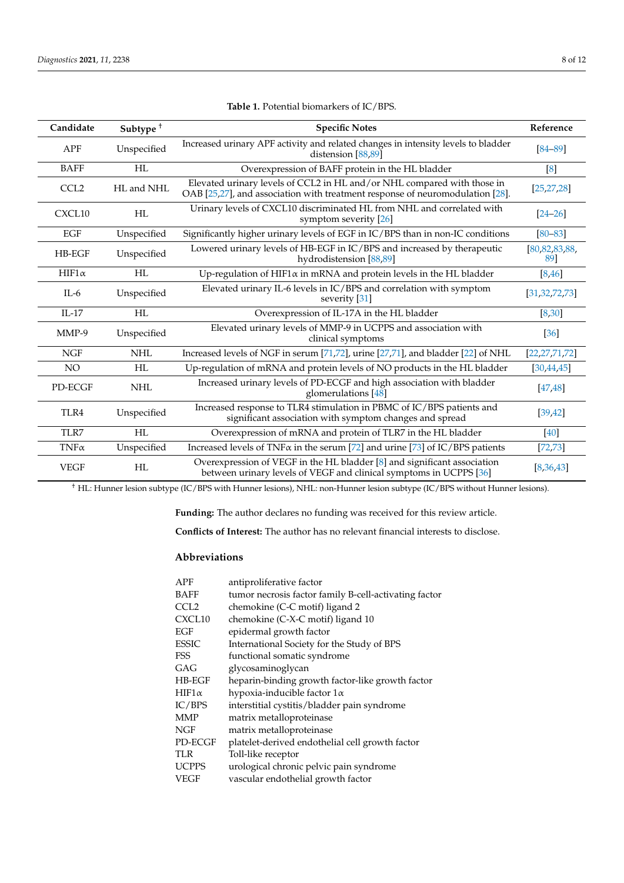<span id="page-7-0"></span>

| Candidate        | Subtype <sup>+</sup> | <b>Specific Notes</b>                                                                                                                                    | Reference               |
|------------------|----------------------|----------------------------------------------------------------------------------------------------------------------------------------------------------|-------------------------|
| <b>APF</b>       | Unspecified          | Increased urinary APF activity and related changes in intensity levels to bladder<br>distension [88,89]                                                  | $[84 - 89]$             |
| <b>BAFF</b>      | HL                   | Overexpression of BAFF protein in the HL bladder                                                                                                         | [8]                     |
| CCL <sub>2</sub> | HL and NHL           | Elevated urinary levels of CCL2 in HL and/or NHL compared with those in<br>OAB [25,27], and association with treatment response of neuromodulation [28]. | [25, 27, 28]            |
| CXCL10           | HL                   | Urinary levels of CXCL10 discriminated HL from NHL and correlated with<br>symptom severity [26]                                                          | $[24 - 26]$             |
| EGF              | Unspecified          | Significantly higher urinary levels of EGF in IC/BPS than in non-IC conditions                                                                           | $[80 - 83]$             |
| HB-EGF           | Unspecified          | Lowered urinary levels of HB-EGF in IC/BPS and increased by therapeutic<br>hydrodistension [88,89]                                                       | [80, 82, 83, 88,<br>891 |
| $HIF1\alpha$     | HL                   | Up-regulation of HIF1 $\alpha$ in mRNA and protein levels in the HL bladder                                                                              | [8, 46]                 |
| $IL-6$           | Unspecified          | Elevated urinary IL-6 levels in IC/BPS and correlation with symptom<br>severity [31]                                                                     | [31, 32, 72, 73]        |
| $IL-17$          | HL                   | Overexpression of IL-17A in the HL bladder                                                                                                               | [8, 30]                 |
| $MMP-9$          | Unspecified          | Elevated urinary levels of MMP-9 in UCPPS and association with<br>clinical symptoms                                                                      | [36]                    |
| <b>NGF</b>       | <b>NHL</b>           | Increased levels of NGF in serum [71,72], urine [27,71], and bladder [22] of NHL                                                                         | [22, 27, 71, 72]        |
| NO               | HL                   | Up-regulation of mRNA and protein levels of NO products in the HL bladder                                                                                | [30, 44, 45]            |
| PD-ECGF          | <b>NHL</b>           | Increased urinary levels of PD-ECGF and high association with bladder<br>glomerulations $[48]$                                                           | [47, 48]                |
| TLR4             | Unspecified          | Increased response to TLR4 stimulation in PBMC of IC/BPS patients and<br>significant association with symptom changes and spread                         | [39, 42]                |
| TLR7             | HI.                  | Overexpression of mRNA and protein of TLR7 in the HL bladder                                                                                             | [40]                    |
| $TNF\alpha$      | Unspecified          | Increased levels of TNF $\alpha$ in the serum [72] and urine [73] of IC/BPS patients                                                                     | [72, 73]                |
| <b>VEGF</b>      | HL                   | Overexpression of VEGF in the HL bladder [8] and significant association<br>between urinary levels of VEGF and clinical symptoms in UCPPS [36]           | [8,36,43]               |

| Table 1. Potential biomarkers of IC/BPS. |  |  |
|------------------------------------------|--|--|
|------------------------------------------|--|--|

† HL: Hunner lesion subtype (IC/BPS with Hunner lesions), NHL: non-Hunner lesion subtype (IC/BPS without Hunner lesions).

**Funding:** The author declares no funding was received for this review article.

**Conflicts of Interest:** The author has no relevant financial interests to disclose.

# **Abbreviations**

| <b>APF</b>       | antiproliferative factor                              |
|------------------|-------------------------------------------------------|
| <b>BAFF</b>      | tumor necrosis factor family B-cell-activating factor |
| CCL <sub>2</sub> | chemokine (C-C motif) ligand 2                        |
| CXCL10           | chemokine (C-X-C motif) ligand 10                     |
| EGF              | epidermal growth factor                               |
| <b>ESSIC</b>     | International Society for the Study of BPS            |
| FSS              | functional somatic syndrome                           |
| GAG              | glycosaminoglycan                                     |
| <b>HB-EGF</b>    | heparin-binding growth factor-like growth factor      |
| $HIF1\alpha$     | hypoxia-inducible factor $1\alpha$                    |
| IC/BPS           | interstitial cystitis/bladder pain syndrome           |
| MMP              | matrix metalloproteinase                              |
| NGF              | matrix metalloproteinase                              |
| PD-ECGF          | platelet-derived endothelial cell growth factor       |
| TLR              | Toll-like receptor                                    |
| <b>UCPPS</b>     | urological chronic pelvic pain syndrome               |
| VEGF             | vascular endothelial growth factor                    |
|                  |                                                       |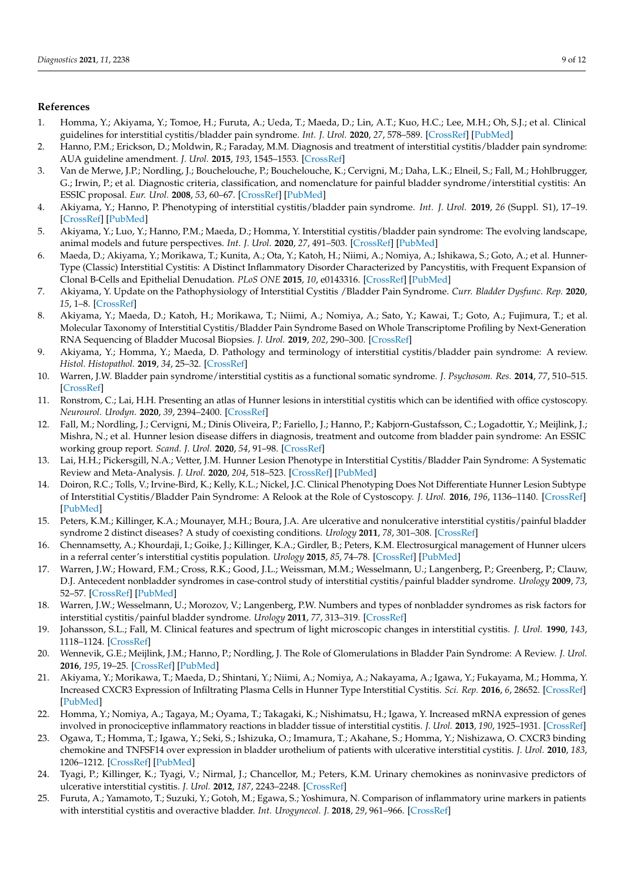## **References**

- <span id="page-8-0"></span>1. Homma, Y.; Akiyama, Y.; Tomoe, H.; Furuta, A.; Ueda, T.; Maeda, D.; Lin, A.T.; Kuo, H.C.; Lee, M.H.; Oh, S.J.; et al. Clinical guidelines for interstitial cystitis/bladder pain syndrome. *Int. J. Urol.* **2020**, *27*, 578–589. [\[CrossRef\]](http://doi.org/10.1111/iju.14234) [\[PubMed\]](http://www.ncbi.nlm.nih.gov/pubmed/32291805)
- 2. Hanno, P.M.; Erickson, D.; Moldwin, R.; Faraday, M.M. Diagnosis and treatment of interstitial cystitis/bladder pain syndrome: AUA guideline amendment. *J. Urol.* **2015**, *193*, 1545–1553. [\[CrossRef\]](http://doi.org/10.1016/j.juro.2015.01.086)
- <span id="page-8-8"></span>3. Van de Merwe, J.P.; Nordling, J.; Bouchelouche, P.; Bouchelouche, K.; Cervigni, M.; Daha, L.K.; Elneil, S.; Fall, M.; Hohlbrugger, G.; Irwin, P.; et al. Diagnostic criteria, classification, and nomenclature for painful bladder syndrome/interstitial cystitis: An ESSIC proposal. *Eur. Urol.* **2008**, *53*, 60–67. [\[CrossRef\]](http://doi.org/10.1016/j.eururo.2007.09.019) [\[PubMed\]](http://www.ncbi.nlm.nih.gov/pubmed/17900797)
- <span id="page-8-1"></span>4. Akiyama, Y.; Hanno, P. Phenotyping of interstitial cystitis/bladder pain syndrome. *Int. J. Urol.* **2019**, *26* (Suppl. S1), 17–19. [\[CrossRef\]](http://doi.org/10.1111/iju.13969) [\[PubMed\]](http://www.ncbi.nlm.nih.gov/pubmed/31144756)
- <span id="page-8-2"></span>5. Akiyama, Y.; Luo, Y.; Hanno, P.M.; Maeda, D.; Homma, Y. Interstitial cystitis/bladder pain syndrome: The evolving landscape, animal models and future perspectives. *Int. J. Urol.* **2020**, *27*, 491–503. [\[CrossRef\]](http://doi.org/10.1111/iju.14229) [\[PubMed\]](http://www.ncbi.nlm.nih.gov/pubmed/32246572)
- <span id="page-8-3"></span>6. Maeda, D.; Akiyama, Y.; Morikawa, T.; Kunita, A.; Ota, Y.; Katoh, H.; Niimi, A.; Nomiya, A.; Ishikawa, S.; Goto, A.; et al. Hunner-Type (Classic) Interstitial Cystitis: A Distinct Inflammatory Disorder Characterized by Pancystitis, with Frequent Expansion of Clonal B-Cells and Epithelial Denudation. *PLoS ONE* **2015**, *10*, e0143316. [\[CrossRef\]](http://doi.org/10.1371/journal.pone.0143316) [\[PubMed\]](http://www.ncbi.nlm.nih.gov/pubmed/26587589)
- 7. Akiyama, Y. Update on the Pathophysiology of Interstitial Cystitis /Bladder Pain Syndrome. *Curr. Bladder Dysfunc. Rep.* **2020**, *15*, 1–8. [\[CrossRef\]](http://doi.org/10.1007/s11884-019-00569-w)
- <span id="page-8-16"></span>8. Akiyama, Y.; Maeda, D.; Katoh, H.; Morikawa, T.; Niimi, A.; Nomiya, A.; Sato, Y.; Kawai, T.; Goto, A.; Fujimura, T.; et al. Molecular Taxonomy of Interstitial Cystitis/Bladder Pain Syndrome Based on Whole Transcriptome Profiling by Next-Generation RNA Sequencing of Bladder Mucosal Biopsies. *J. Urol.* **2019**, *202*, 290–300. [\[CrossRef\]](http://doi.org/10.1097/JU.0000000000000234)
- <span id="page-8-14"></span>9. Akiyama, Y.; Homma, Y.; Maeda, D. Pathology and terminology of interstitial cystitis/bladder pain syndrome: A review. *Histol. Histopathol.* **2019**, *34*, 25–32. [\[CrossRef\]](http://doi.org/10.14670/HH-18-028)
- <span id="page-8-4"></span>10. Warren, J.W. Bladder pain syndrome/interstitial cystitis as a functional somatic syndrome. *J. Psychosom. Res.* **2014**, *77*, 510–515. [\[CrossRef\]](http://doi.org/10.1016/j.jpsychores.2014.10.003)
- <span id="page-8-5"></span>11. Ronstrom, C.; Lai, H.H. Presenting an atlas of Hunner lesions in interstitial cystitis which can be identified with office cystoscopy. *Neurourol. Urodyn.* **2020**, *39*, 2394–2400. [\[CrossRef\]](http://doi.org/10.1002/nau.24500)
- <span id="page-8-6"></span>12. Fall, M.; Nordling, J.; Cervigni, M.; Dinis Oliveira, P.; Fariello, J.; Hanno, P.; Kabjorn-Gustafsson, C.; Logadottir, Y.; Meijlink, J.; Mishra, N.; et al. Hunner lesion disease differs in diagnosis, treatment and outcome from bladder pain syndrome: An ESSIC working group report. *Scand. J. Urol.* **2020**, *54*, 91–98. [\[CrossRef\]](http://doi.org/10.1080/21681805.2020.1730948)
- <span id="page-8-7"></span>13. Lai, H.H.; Pickersgill, N.A.; Vetter, J.M. Hunner Lesion Phenotype in Interstitial Cystitis/Bladder Pain Syndrome: A Systematic Review and Meta-Analysis. *J. Urol.* **2020**, *204*, 518–523. [\[CrossRef\]](http://doi.org/10.1097/JU.0000000000001031) [\[PubMed\]](http://www.ncbi.nlm.nih.gov/pubmed/32223699)
- <span id="page-8-9"></span>14. Doiron, R.C.; Tolls, V.; Irvine-Bird, K.; Kelly, K.L.; Nickel, J.C. Clinical Phenotyping Does Not Differentiate Hunner Lesion Subtype of Interstitial Cystitis/Bladder Pain Syndrome: A Relook at the Role of Cystoscopy. *J. Urol.* **2016**, *196*, 1136–1140. [\[CrossRef\]](http://doi.org/10.1016/j.juro.2016.04.067) [\[PubMed\]](http://www.ncbi.nlm.nih.gov/pubmed/27117441)
- <span id="page-8-10"></span>15. Peters, K.M.; Killinger, K.A.; Mounayer, M.H.; Boura, J.A. Are ulcerative and nonulcerative interstitial cystitis/painful bladder syndrome 2 distinct diseases? A study of coexisting conditions. *Urology* **2011**, *78*, 301–308. [\[CrossRef\]](http://doi.org/10.1016/j.urology.2011.04.030)
- <span id="page-8-11"></span>16. Chennamsetty, A.; Khourdaji, I.; Goike, J.; Killinger, K.A.; Girdler, B.; Peters, K.M. Electrosurgical management of Hunner ulcers in a referral center's interstitial cystitis population. *Urology* **2015**, *85*, 74–78. [\[CrossRef\]](http://doi.org/10.1016/j.urology.2014.09.012) [\[PubMed\]](http://www.ncbi.nlm.nih.gov/pubmed/25440759)
- <span id="page-8-12"></span>17. Warren, J.W.; Howard, F.M.; Cross, R.K.; Good, J.L.; Weissman, M.M.; Wesselmann, U.; Langenberg, P.; Greenberg, P.; Clauw, D.J. Antecedent nonbladder syndromes in case-control study of interstitial cystitis/painful bladder syndrome. *Urology* **2009**, *73*, 52–57. [\[CrossRef\]](http://doi.org/10.1016/j.urology.2008.06.031) [\[PubMed\]](http://www.ncbi.nlm.nih.gov/pubmed/18995888)
- <span id="page-8-13"></span>18. Warren, J.W.; Wesselmann, U.; Morozov, V.; Langenberg, P.W. Numbers and types of nonbladder syndromes as risk factors for interstitial cystitis/painful bladder syndrome. *Urology* **2011**, *77*, 313–319. [\[CrossRef\]](http://doi.org/10.1016/j.urology.2010.08.059)
- <span id="page-8-15"></span>19. Johansson, S.L.; Fall, M. Clinical features and spectrum of light microscopic changes in interstitial cystitis. *J. Urol.* **1990**, *143*, 1118–1124. [\[CrossRef\]](http://doi.org/10.1016/S0022-5347(17)40201-1)
- <span id="page-8-17"></span>20. Wennevik, G.E.; Meijlink, J.M.; Hanno, P.; Nordling, J. The Role of Glomerulations in Bladder Pain Syndrome: A Review. *J. Urol.* **2016**, *195*, 19–25. [\[CrossRef\]](http://doi.org/10.1016/j.juro.2015.06.112) [\[PubMed\]](http://www.ncbi.nlm.nih.gov/pubmed/26318984)
- <span id="page-8-18"></span>21. Akiyama, Y.; Morikawa, T.; Maeda, D.; Shintani, Y.; Niimi, A.; Nomiya, A.; Nakayama, A.; Igawa, Y.; Fukayama, M.; Homma, Y. Increased CXCR3 Expression of Infiltrating Plasma Cells in Hunner Type Interstitial Cystitis. *Sci. Rep.* **2016**, *6*, 28652. [\[CrossRef\]](http://doi.org/10.1038/srep28652) [\[PubMed\]](http://www.ncbi.nlm.nih.gov/pubmed/27339056)
- <span id="page-8-22"></span>22. Homma, Y.; Nomiya, A.; Tagaya, M.; Oyama, T.; Takagaki, K.; Nishimatsu, H.; Igawa, Y. Increased mRNA expression of genes involved in pronociceptive inflammatory reactions in bladder tissue of interstitial cystitis. *J. Urol.* **2013**, *190*, 1925–1931. [\[CrossRef\]](http://doi.org/10.1016/j.juro.2013.05.049)
- <span id="page-8-19"></span>23. Ogawa, T.; Homma, T.; Igawa, Y.; Seki, S.; Ishizuka, O.; Imamura, T.; Akahane, S.; Homma, Y.; Nishizawa, O. CXCR3 binding chemokine and TNFSF14 over expression in bladder urothelium of patients with ulcerative interstitial cystitis. *J. Urol.* **2010**, *183*, 1206–1212. [\[CrossRef\]](http://doi.org/10.1016/j.juro.2009.11.007) [\[PubMed\]](http://www.ncbi.nlm.nih.gov/pubmed/20096889)
- <span id="page-8-20"></span>24. Tyagi, P.; Killinger, K.; Tyagi, V.; Nirmal, J.; Chancellor, M.; Peters, K.M. Urinary chemokines as noninvasive predictors of ulcerative interstitial cystitis. *J. Urol.* **2012**, *187*, 2243–2248. [\[CrossRef\]](http://doi.org/10.1016/j.juro.2012.01.034)
- <span id="page-8-21"></span>25. Furuta, A.; Yamamoto, T.; Suzuki, Y.; Gotoh, M.; Egawa, S.; Yoshimura, N. Comparison of inflammatory urine markers in patients with interstitial cystitis and overactive bladder. *Int. Urogynecol. J.* **2018**, *29*, 961–966. [\[CrossRef\]](http://doi.org/10.1007/s00192-017-3547-5)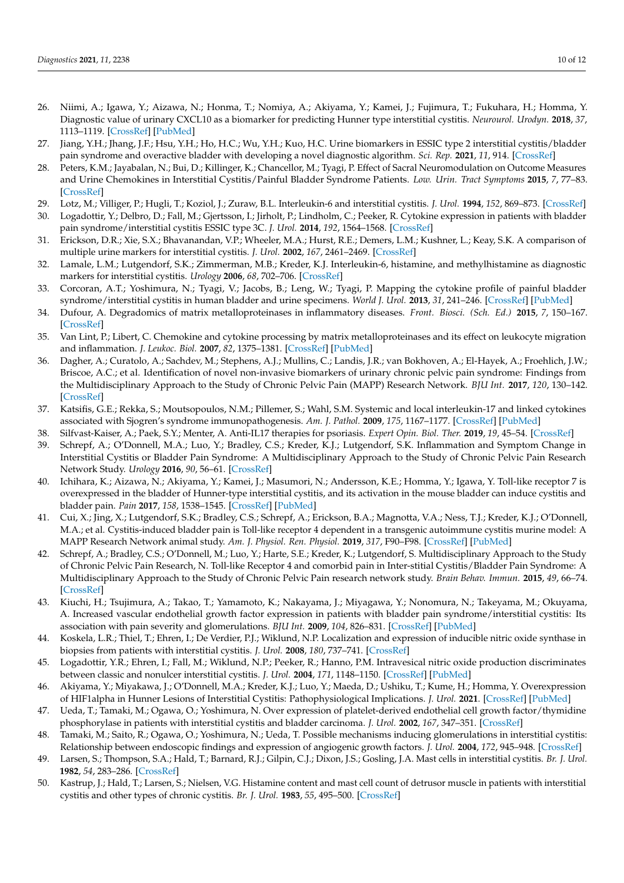- <span id="page-9-0"></span>26. Niimi, A.; Igawa, Y.; Aizawa, N.; Honma, T.; Nomiya, A.; Akiyama, Y.; Kamei, J.; Fujimura, T.; Fukuhara, H.; Homma, Y. Diagnostic value of urinary CXCL10 as a biomarker for predicting Hunner type interstitial cystitis. *Neurourol. Urodyn.* **2018**, *37*, 1113–1119. [\[CrossRef\]](http://doi.org/10.1002/nau.23431) [\[PubMed\]](http://www.ncbi.nlm.nih.gov/pubmed/29048741)
- <span id="page-9-1"></span>27. Jiang, Y.H.; Jhang, J.F.; Hsu, Y.H.; Ho, H.C.; Wu, Y.H.; Kuo, H.C. Urine biomarkers in ESSIC type 2 interstitial cystitis/bladder pain syndrome and overactive bladder with developing a novel diagnostic algorithm. *Sci. Rep.* **2021**, *11*, 914. [\[CrossRef\]](http://doi.org/10.1038/s41598-020-80131-5)
- <span id="page-9-2"></span>28. Peters, K.M.; Jayabalan, N.; Bui, D.; Killinger, K.; Chancellor, M.; Tyagi, P. Effect of Sacral Neuromodulation on Outcome Measures and Urine Chemokines in Interstitial Cystitis/Painful Bladder Syndrome Patients. *Low. Urin. Tract Symptoms* **2015**, *7*, 77–83. [\[CrossRef\]](http://doi.org/10.1111/luts.12054)
- <span id="page-9-3"></span>29. Lotz, M.; Villiger, P.; Hugli, T.; Koziol, J.; Zuraw, B.L. Interleukin-6 and interstitial cystitis. *J. Urol.* **1994**, *152*, 869–873. [\[CrossRef\]](http://doi.org/10.1016/S0022-5347(17)32594-6)
- <span id="page-9-11"></span>30. Logadottir, Y.; Delbro, D.; Fall, M.; Gjertsson, I.; Jirholt, P.; Lindholm, C.; Peeker, R. Cytokine expression in patients with bladder pain syndrome/interstitial cystitis ESSIC type 3C. *J. Urol.* **2014**, *192*, 1564–1568. [\[CrossRef\]](http://doi.org/10.1016/j.juro.2014.04.099)
- <span id="page-9-5"></span>31. Erickson, D.R.; Xie, S.X.; Bhavanandan, V.P.; Wheeler, M.A.; Hurst, R.E.; Demers, L.M.; Kushner, L.; Keay, S.K. A comparison of multiple urine markers for interstitial cystitis. *J. Urol.* **2002**, *167*, 2461–2469. [\[CrossRef\]](http://doi.org/10.1016/S0022-5347(05)65005-7)
- <span id="page-9-6"></span>32. Lamale, L.M.; Lutgendorf, S.K.; Zimmerman, M.B.; Kreder, K.J. Interleukin-6, histamine, and methylhistamine as diagnostic markers for interstitial cystitis. *Urology* **2006**, *68*, 702–706. [\[CrossRef\]](http://doi.org/10.1016/j.urology.2006.04.033)
- <span id="page-9-4"></span>33. Corcoran, A.T.; Yoshimura, N.; Tyagi, V.; Jacobs, B.; Leng, W.; Tyagi, P. Mapping the cytokine profile of painful bladder syndrome/interstitial cystitis in human bladder and urine specimens. *World J. Urol.* **2013**, *31*, 241–246. [\[CrossRef\]](http://doi.org/10.1007/s00345-012-0852-y) [\[PubMed\]](http://www.ncbi.nlm.nih.gov/pubmed/22441309)
- <span id="page-9-7"></span>34. Dufour, A. Degradomics of matrix metalloproteinases in inflammatory diseases. *Front. Biosci. (Sch. Ed.)* **2015**, *7*, 150–167. [\[CrossRef\]](http://doi.org/10.2741/s430)
- <span id="page-9-8"></span>35. Van Lint, P.; Libert, C. Chemokine and cytokine processing by matrix metalloproteinases and its effect on leukocyte migration and inflammation. *J. Leukoc. Biol.* **2007**, *82*, 1375–1381. [\[CrossRef\]](http://doi.org/10.1189/jlb.0607338) [\[PubMed\]](http://www.ncbi.nlm.nih.gov/pubmed/17709402)
- <span id="page-9-9"></span>36. Dagher, A.; Curatolo, A.; Sachdev, M.; Stephens, A.J.; Mullins, C.; Landis, J.R.; van Bokhoven, A.; El-Hayek, A.; Froehlich, J.W.; Briscoe, A.C.; et al. Identification of novel non-invasive biomarkers of urinary chronic pelvic pain syndrome: Findings from the Multidisciplinary Approach to the Study of Chronic Pelvic Pain (MAPP) Research Network. *BJU Int.* **2017**, *120*, 130–142. [\[CrossRef\]](http://doi.org/10.1111/bju.13832)
- <span id="page-9-10"></span>37. Katsifis, G.E.; Rekka, S.; Moutsopoulos, N.M.; Pillemer, S.; Wahl, S.M. Systemic and local interleukin-17 and linked cytokines associated with Sjogren's syndrome immunopathogenesis. *Am. J. Pathol.* **2009**, *175*, 1167–1177. [\[CrossRef\]](http://doi.org/10.2353/ajpath.2009.090319) [\[PubMed\]](http://www.ncbi.nlm.nih.gov/pubmed/19700754)
- <span id="page-9-12"></span>38. Silfvast-Kaiser, A.; Paek, S.Y.; Menter, A. Anti-IL17 therapies for psoriasis. *Expert Opin. Biol. Ther.* **2019**, *19*, 45–54. [\[CrossRef\]](http://doi.org/10.1080/14712598.2019.1555235)
- <span id="page-9-13"></span>39. Schrepf, A.; O'Donnell, M.A.; Luo, Y.; Bradley, C.S.; Kreder, K.J.; Lutgendorf, S.K. Inflammation and Symptom Change in Interstitial Cystitis or Bladder Pain Syndrome: A Multidisciplinary Approach to the Study of Chronic Pelvic Pain Research Network Study. *Urology* **2016**, *90*, 56–61. [\[CrossRef\]](http://doi.org/10.1016/j.urology.2015.12.040)
- <span id="page-9-14"></span>40. Ichihara, K.; Aizawa, N.; Akiyama, Y.; Kamei, J.; Masumori, N.; Andersson, K.E.; Homma, Y.; Igawa, Y. Toll-like receptor 7 is overexpressed in the bladder of Hunner-type interstitial cystitis, and its activation in the mouse bladder can induce cystitis and bladder pain. *Pain* **2017**, *158*, 1538–1545. [\[CrossRef\]](http://doi.org/10.1097/j.pain.0000000000000947) [\[PubMed\]](http://www.ncbi.nlm.nih.gov/pubmed/28595240)
- <span id="page-9-15"></span>41. Cui, X.; Jing, X.; Lutgendorf, S.K.; Bradley, C.S.; Schrepf, A.; Erickson, B.A.; Magnotta, V.A.; Ness, T.J.; Kreder, K.J.; O'Donnell, M.A.; et al. Cystitis-induced bladder pain is Toll-like receptor 4 dependent in a transgenic autoimmune cystitis murine model: A MAPP Research Network animal study. *Am. J. Physiol. Ren. Physiol.* **2019**, *317*, F90–F98. [\[CrossRef\]](http://doi.org/10.1152/ajprenal.00017.2019) [\[PubMed\]](http://www.ncbi.nlm.nih.gov/pubmed/31091120)
- <span id="page-9-16"></span>42. Schrepf, A.; Bradley, C.S.; O'Donnell, M.; Luo, Y.; Harte, S.E.; Kreder, K.; Lutgendorf, S. Multidisciplinary Approach to the Study of Chronic Pelvic Pain Research, N. Toll-like Receptor 4 and comorbid pain in Inter-stitial Cystitis/Bladder Pain Syndrome: A Multidisciplinary Approach to the Study of Chronic Pelvic Pain research network study. *Brain Behav. Immun.* **2015**, *49*, 66–74. [\[CrossRef\]](http://doi.org/10.1016/j.bbi.2015.03.003)
- <span id="page-9-17"></span>43. Kiuchi, H.; Tsujimura, A.; Takao, T.; Yamamoto, K.; Nakayama, J.; Miyagawa, Y.; Nonomura, N.; Takeyama, M.; Okuyama, A. Increased vascular endothelial growth factor expression in patients with bladder pain syndrome/interstitial cystitis: Its association with pain severity and glomerulations. *BJU Int.* **2009**, *104*, 826–831. [\[CrossRef\]](http://doi.org/10.1111/j.1464-410X.2009.08467.x) [\[PubMed\]](http://www.ncbi.nlm.nih.gov/pubmed/19298410)
- <span id="page-9-18"></span>44. Koskela, L.R.; Thiel, T.; Ehren, I.; De Verdier, P.J.; Wiklund, N.P. Localization and expression of inducible nitric oxide synthase in biopsies from patients with interstitial cystitis. *J. Urol.* **2008**, *180*, 737–741. [\[CrossRef\]](http://doi.org/10.1016/j.juro.2008.03.184)
- <span id="page-9-19"></span>45. Logadottir, Y.R.; Ehren, I.; Fall, M.; Wiklund, N.P.; Peeker, R.; Hanno, P.M. Intravesical nitric oxide production discriminates between classic and nonulcer interstitial cystitis. *J. Urol.* **2004**, *171*, 1148–1150. [\[CrossRef\]](http://doi.org/10.1097/01.ju.0000110501.96416.40) [\[PubMed\]](http://www.ncbi.nlm.nih.gov/pubmed/14767289)
- <span id="page-9-20"></span>46. Akiyama, Y.; Miyakawa, J.; O'Donnell, M.A.; Kreder, K.J.; Luo, Y.; Maeda, D.; Ushiku, T.; Kume, H.; Homma, Y. Overexpression of HIF1alpha in Hunner Lesions of Interstitial Cystitis: Pathophysiological Implications. *J. Urol.* **2021**. [\[CrossRef\]](http://doi.org/10.1097/JU.0000000000002278) [\[PubMed\]](http://www.ncbi.nlm.nih.gov/pubmed/34694138)
- <span id="page-9-21"></span>47. Ueda, T.; Tamaki, M.; Ogawa, O.; Yoshimura, N. Over expression of platelet-derived endothelial cell growth factor/thymidine phosphorylase in patients with interstitial cystitis and bladder carcinoma. *J. Urol.* **2002**, *167*, 347–351. [\[CrossRef\]](http://doi.org/10.1016/S0022-5347(05)65466-3)
- <span id="page-9-22"></span>48. Tamaki, M.; Saito, R.; Ogawa, O.; Yoshimura, N.; Ueda, T. Possible mechanisms inducing glomerulations in interstitial cystitis: Relationship between endoscopic findings and expression of angiogenic growth factors. *J. Urol.* **2004**, *172*, 945–948. [\[CrossRef\]](http://doi.org/10.1097/01.ju.0000135009.55905.cb)
- <span id="page-9-23"></span>49. Larsen, S.; Thompson, S.A.; Hald, T.; Barnard, R.J.; Gilpin, C.J.; Dixon, J.S.; Gosling, J.A. Mast cells in interstitial cystitis. *Br. J. Urol.* **1982**, *54*, 283–286. [\[CrossRef\]](http://doi.org/10.1111/j.1464-410X.1982.tb06976.x)
- 50. Kastrup, J.; Hald, T.; Larsen, S.; Nielsen, V.G. Histamine content and mast cell count of detrusor muscle in patients with interstitial cystitis and other types of chronic cystitis. *Br. J. Urol.* **1983**, *55*, 495–500. [\[CrossRef\]](http://doi.org/10.1111/j.1464-410X.1983.tb03356.x)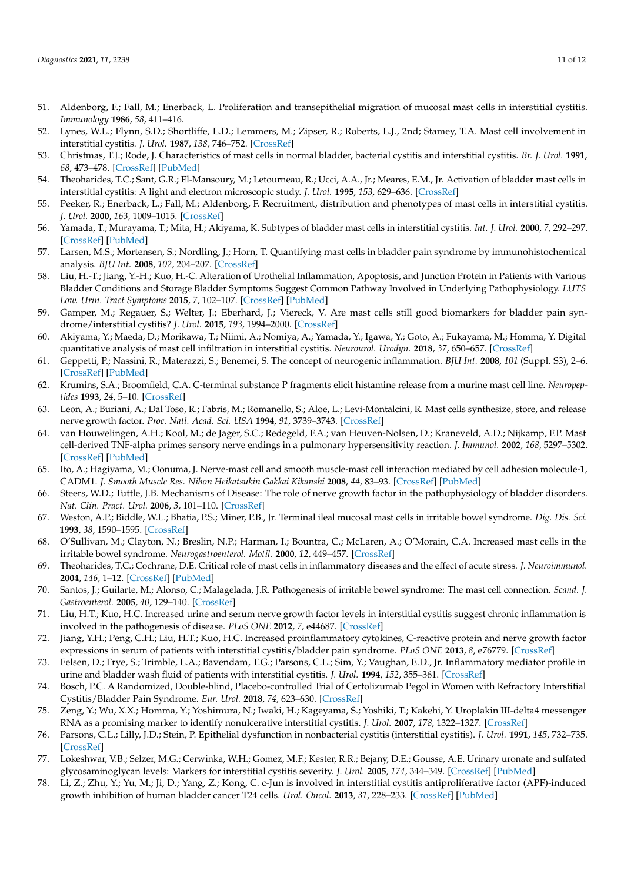- 51. Aldenborg, F.; Fall, M.; Enerback, L. Proliferation and transepithelial migration of mucosal mast cells in interstitial cystitis. *Immunology* **1986**, *58*, 411–416.
- 52. Lynes, W.L.; Flynn, S.D.; Shortliffe, L.D.; Lemmers, M.; Zipser, R.; Roberts, L.J., 2nd; Stamey, T.A. Mast cell involvement in interstitial cystitis. *J. Urol.* **1987**, *138*, 746–752. [\[CrossRef\]](http://doi.org/10.1016/S0022-5347(17)43359-3)
- 53. Christmas, T.J.; Rode, J. Characteristics of mast cells in normal bladder, bacterial cystitis and interstitial cystitis. *Br. J. Urol.* **1991**, *68*, 473–478. [\[CrossRef\]](http://doi.org/10.1111/j.1464-410X.1991.tb15388.x) [\[PubMed\]](http://www.ncbi.nlm.nih.gov/pubmed/1720992)
- 54. Theoharides, T.C.; Sant, G.R.; El-Mansoury, M.; Letourneau, R.; Ucci, A.A., Jr.; Meares, E.M., Jr. Activation of bladder mast cells in interstitial cystitis: A light and electron microscopic study. *J. Urol.* **1995**, *153*, 629–636. [\[CrossRef\]](http://doi.org/10.1016/S0022-5347(01)67669-9)
- 55. Peeker, R.; Enerback, L.; Fall, M.; Aldenborg, F. Recruitment, distribution and phenotypes of mast cells in interstitial cystitis. *J. Urol.* **2000**, *163*, 1009–1015. [\[CrossRef\]](http://doi.org/10.1016/S0022-5347(05)67873-1)
- <span id="page-10-0"></span>56. Yamada, T.; Murayama, T.; Mita, H.; Akiyama, K. Subtypes of bladder mast cells in interstitial cystitis. *Int. J. Urol.* **2000**, *7*, 292–297. [\[CrossRef\]](http://doi.org/10.1046/j.1442-2042.2000.00197.x) [\[PubMed\]](http://www.ncbi.nlm.nih.gov/pubmed/10976817)
- <span id="page-10-1"></span>57. Larsen, M.S.; Mortensen, S.; Nordling, J.; Horn, T. Quantifying mast cells in bladder pain syndrome by immunohistochemical analysis. *BJU Int.* **2008**, *102*, 204–207. [\[CrossRef\]](http://doi.org/10.1111/j.1464-410X.2008.07576.x)
- 58. Liu, H.-T.; Jiang, Y.-H.; Kuo, H.-C. Alteration of Urothelial Inflammation, Apoptosis, and Junction Protein in Patients with Various Bladder Conditions and Storage Bladder Symptoms Suggest Common Pathway Involved in Underlying Pathophysiology. *LUTS Low. Urin. Tract Symptoms* **2015**, *7*, 102–107. [\[CrossRef\]](http://doi.org/10.1111/luts.12062) [\[PubMed\]](http://www.ncbi.nlm.nih.gov/pubmed/26663690)
- <span id="page-10-3"></span>59. Gamper, M.; Regauer, S.; Welter, J.; Eberhard, J.; Viereck, V. Are mast cells still good biomarkers for bladder pain syndrome/interstitial cystitis? *J. Urol.* **2015**, *193*, 1994–2000. [\[CrossRef\]](http://doi.org/10.1016/j.juro.2015.01.036)
- <span id="page-10-2"></span>60. Akiyama, Y.; Maeda, D.; Morikawa, T.; Niimi, A.; Nomiya, A.; Yamada, Y.; Igawa, Y.; Goto, A.; Fukayama, M.; Homma, Y. Digital quantitative analysis of mast cell infiltration in interstitial cystitis. *Neurourol. Urodyn.* **2018**, *37*, 650–657. [\[CrossRef\]](http://doi.org/10.1002/nau.23365)
- <span id="page-10-4"></span>61. Geppetti, P.; Nassini, R.; Materazzi, S.; Benemei, S. The concept of neurogenic inflammation. *BJU Int.* **2008**, *101* (Suppl. S3), 2–6. [\[CrossRef\]](http://doi.org/10.1111/j.1464-410X.2008.07493.x) [\[PubMed\]](http://www.ncbi.nlm.nih.gov/pubmed/18307678)
- <span id="page-10-5"></span>62. Krumins, S.A.; Broomfield, C.A. C-terminal substance P fragments elicit histamine release from a murine mast cell line. *Neuropeptides* **1993**, *24*, 5–10. [\[CrossRef\]](http://doi.org/10.1016/0143-4179(93)90035-9)
- 63. Leon, A.; Buriani, A.; Dal Toso, R.; Fabris, M.; Romanello, S.; Aloe, L.; Levi-Montalcini, R. Mast cells synthesize, store, and release nerve growth factor. *Proc. Natl. Acad. Sci. USA* **1994**, *91*, 3739–3743. [\[CrossRef\]](http://doi.org/10.1073/pnas.91.9.3739)
- 64. van Houwelingen, A.H.; Kool, M.; de Jager, S.C.; Redegeld, F.A.; van Heuven-Nolsen, D.; Kraneveld, A.D.; Nijkamp, F.P. Mast cell-derived TNF-alpha primes sensory nerve endings in a pulmonary hypersensitivity reaction. *J. Immunol.* **2002**, *168*, 5297–5302. [\[CrossRef\]](http://doi.org/10.4049/jimmunol.168.10.5297) [\[PubMed\]](http://www.ncbi.nlm.nih.gov/pubmed/11994487)
- <span id="page-10-6"></span>65. Ito, A.; Hagiyama, M.; Oonuma, J. Nerve-mast cell and smooth muscle-mast cell interaction mediated by cell adhesion molecule-1, CADM1. *J. Smooth Muscle Res. Nihon Heikatsukin Gakkai Kikanshi* **2008**, *44*, 83–93. [\[CrossRef\]](http://doi.org/10.1540/jsmr.44.83) [\[PubMed\]](http://www.ncbi.nlm.nih.gov/pubmed/18552455)
- <span id="page-10-7"></span>66. Steers, W.D.; Tuttle, J.B. Mechanisms of Disease: The role of nerve growth factor in the pathophysiology of bladder disorders. *Nat. Clin. Pract. Urol.* **2006**, *3*, 101–110. [\[CrossRef\]](http://doi.org/10.1038/ncpuro0408)
- <span id="page-10-8"></span>67. Weston, A.P.; Biddle, W.L.; Bhatia, P.S.; Miner, P.B., Jr. Terminal ileal mucosal mast cells in irritable bowel syndrome. *Dig. Dis. Sci.* **1993**, *38*, 1590–1595. [\[CrossRef\]](http://doi.org/10.1007/BF01303164)
- 68. O'Sullivan, M.; Clayton, N.; Breslin, N.P.; Harman, I.; Bountra, C.; McLaren, A.; O'Morain, C.A. Increased mast cells in the irritable bowel syndrome. *Neurogastroenterol. Motil.* **2000**, *12*, 449–457. [\[CrossRef\]](http://doi.org/10.1046/j.1365-2982.2000.00221.x)
- 69. Theoharides, T.C.; Cochrane, D.E. Critical role of mast cells in inflammatory diseases and the effect of acute stress. *J. Neuroimmunol.* **2004**, *146*, 1–12. [\[CrossRef\]](http://doi.org/10.1016/j.jneuroim.2003.10.041) [\[PubMed\]](http://www.ncbi.nlm.nih.gov/pubmed/14698841)
- <span id="page-10-9"></span>70. Santos, J.; Guilarte, M.; Alonso, C.; Malagelada, J.R. Pathogenesis of irritable bowel syndrome: The mast cell connection. *Scand. J. Gastroenterol.* **2005**, *40*, 129–140. [\[CrossRef\]](http://doi.org/10.1080/00365520410009410)
- <span id="page-10-10"></span>71. Liu, H.T.; Kuo, H.C. Increased urine and serum nerve growth factor levels in interstitial cystitis suggest chronic inflammation is involved in the pathogenesis of disease. *PLoS ONE* **2012**, *7*, e44687. [\[CrossRef\]](http://doi.org/10.1371/journal.pone.0044687)
- <span id="page-10-11"></span>72. Jiang, Y.H.; Peng, C.H.; Liu, H.T.; Kuo, H.C. Increased proinflammatory cytokines, C-reactive protein and nerve growth factor expressions in serum of patients with interstitial cystitis/bladder pain syndrome. *PLoS ONE* **2013**, *8*, e76779. [\[CrossRef\]](http://doi.org/10.1371/journal.pone.0076779)
- <span id="page-10-12"></span>73. Felsen, D.; Frye, S.; Trimble, L.A.; Bavendam, T.G.; Parsons, C.L.; Sim, Y.; Vaughan, E.D., Jr. Inflammatory mediator profile in urine and bladder wash fluid of patients with interstitial cystitis. *J. Urol.* **1994**, *152*, 355–361. [\[CrossRef\]](http://doi.org/10.1016/S0022-5347(17)32739-8)
- <span id="page-10-13"></span>74. Bosch, P.C. A Randomized, Double-blind, Placebo-controlled Trial of Certolizumab Pegol in Women with Refractory Interstitial Cystitis/Bladder Pain Syndrome. *Eur. Urol.* **2018**, *74*, 623–630. [\[CrossRef\]](http://doi.org/10.1016/j.eururo.2018.07.026)
- <span id="page-10-14"></span>75. Zeng, Y.; Wu, X.X.; Homma, Y.; Yoshimura, N.; Iwaki, H.; Kageyama, S.; Yoshiki, T.; Kakehi, Y. Uroplakin III-delta4 messenger RNA as a promising marker to identify nonulcerative interstitial cystitis. *J. Urol.* **2007**, *178*, 1322–1327. [\[CrossRef\]](http://doi.org/10.1016/j.juro.2007.05.125)
- <span id="page-10-15"></span>76. Parsons, C.L.; Lilly, J.D.; Stein, P. Epithelial dysfunction in nonbacterial cystitis (interstitial cystitis). *J. Urol.* **1991**, *145*, 732–735. [\[CrossRef\]](http://doi.org/10.1016/S0022-5347(17)38437-9)
- <span id="page-10-16"></span>77. Lokeshwar, V.B.; Selzer, M.G.; Cerwinka, W.H.; Gomez, M.F.; Kester, R.R.; Bejany, D.E.; Gousse, A.E. Urinary uronate and sulfated glycosaminoglycan levels: Markers for interstitial cystitis severity. *J. Urol.* **2005**, *174*, 344–349. [\[CrossRef\]](http://doi.org/10.1097/01.ju.0000161599.69942.2e) [\[PubMed\]](http://www.ncbi.nlm.nih.gov/pubmed/15947687)
- <span id="page-10-17"></span>78. Li, Z.; Zhu, Y.; Yu, M.; Ji, D.; Yang, Z.; Kong, C. c-Jun is involved in interstitial cystitis antiproliferative factor (APF)-induced growth inhibition of human bladder cancer T24 cells. *Urol. Oncol.* **2013**, *31*, 228–233. [\[CrossRef\]](http://doi.org/10.1016/j.urolonc.2010.11.011) [\[PubMed\]](http://www.ncbi.nlm.nih.gov/pubmed/21872498)